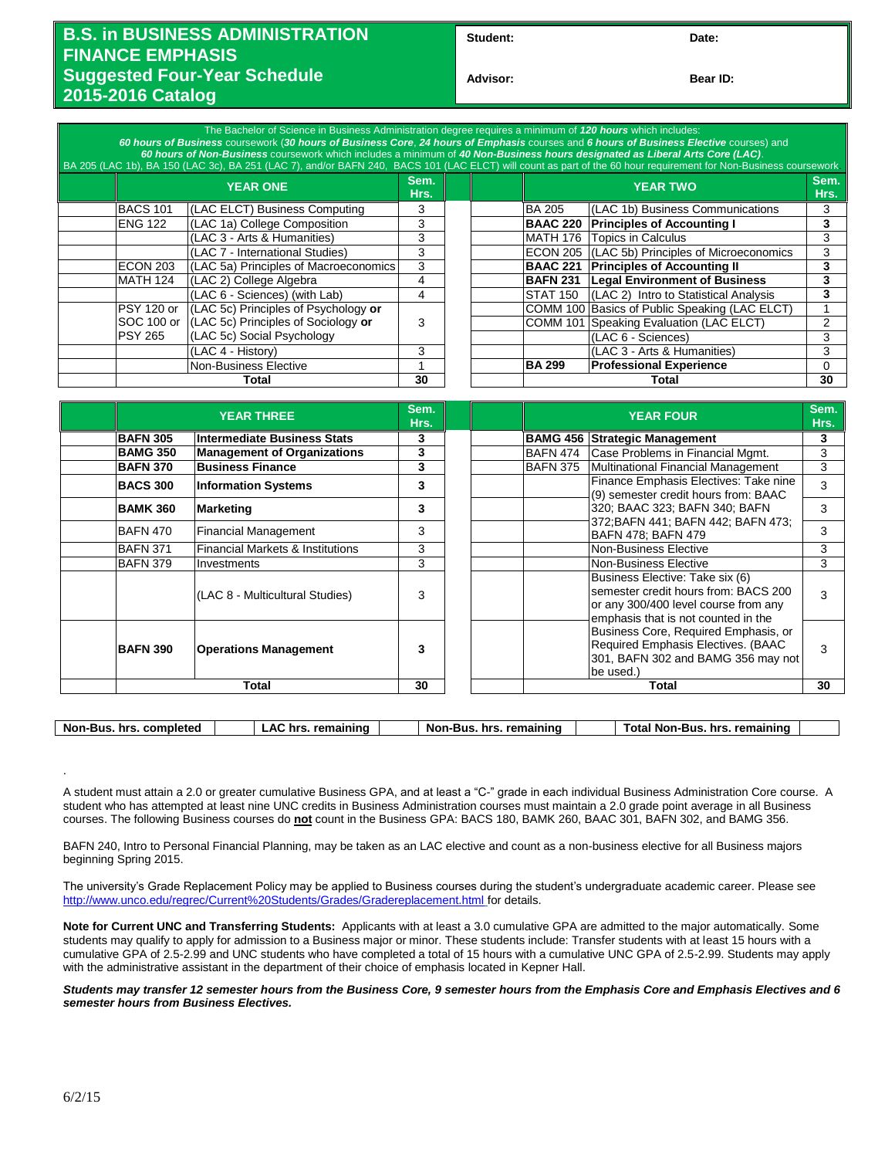## **B.S. in BUSINESS ADMINISTRATION FINANCE EMPHASIS Suggested Four-Year Schedule 2015-2016 Catalog**

**Student: Date:**

**Bear ID:** 

|                 | The Bachelor of Science in Business Administration degree requires a minimum of 120 hours which includes:<br>60 hours of Business coursework (30 hours of Business Core, 24 hours of Emphasis courses and 6 hours of Business Elective courses) and<br>60 hours of Non-Business coursework which includes a minimum of 40 Non-Business hours designated as Liberal Arts Core (LAC). |   |  |                 | BA 205 (LAC 1b), BA 150 (LAC 3c), BA 251 (LAC 7), and/or BAFN 240, BACS 101 (LAC ELCT) will count as part of the 60 hour requirement for Non-Business coursework. |    |  |
|-----------------|-------------------------------------------------------------------------------------------------------------------------------------------------------------------------------------------------------------------------------------------------------------------------------------------------------------------------------------------------------------------------------------|---|--|-----------------|-------------------------------------------------------------------------------------------------------------------------------------------------------------------|----|--|
|                 | <b>YEAR ONE</b>                                                                                                                                                                                                                                                                                                                                                                     |   |  |                 | Sem.<br><b>YEAR TWO</b><br>Hrs.                                                                                                                                   |    |  |
| <b>BACS 101</b> | (LAC ELCT) Business Computing                                                                                                                                                                                                                                                                                                                                                       | 3 |  | <b>BA 205</b>   | (LAC 1b) Business Communications                                                                                                                                  | 3  |  |
| <b>ENG 122</b>  | (LAC 1a) College Composition                                                                                                                                                                                                                                                                                                                                                        | 3 |  | <b>BAAC 220</b> | <b>Principles of Accounting I</b>                                                                                                                                 | 3  |  |
|                 | (LAC 3 - Arts & Humanities)                                                                                                                                                                                                                                                                                                                                                         | 3 |  |                 | MATH 176 Topics in Calculus                                                                                                                                       | 3  |  |
|                 | (LAC 7 - International Studies)                                                                                                                                                                                                                                                                                                                                                     | 3 |  |                 | ECON 205 (LAC 5b) Principles of Microeconomics                                                                                                                    | 3  |  |
| ECON 203        | (LAC 5a) Principles of Macroeconomics                                                                                                                                                                                                                                                                                                                                               | 3 |  |                 | <b>BAAC 221 Principles of Accounting II</b>                                                                                                                       | 3  |  |
| MATH 124        | (LAC 2) College Algebra                                                                                                                                                                                                                                                                                                                                                             | 4 |  |                 | <b>BAFN 231   Legal Environment of Business</b>                                                                                                                   | 3  |  |
|                 | (LAC 6 - Sciences) (with Lab)                                                                                                                                                                                                                                                                                                                                                       | 4 |  | STAT 150        | (LAC 2) Intro to Statistical Analysis                                                                                                                             |    |  |
| PSY 120 or      | (LAC 5c) Principles of Psychology or                                                                                                                                                                                                                                                                                                                                                |   |  |                 | COMM 100 Basics of Public Speaking (LAC ELCT)                                                                                                                     |    |  |
| SOC 100 or      | (LAC 5c) Principles of Sociology or                                                                                                                                                                                                                                                                                                                                                 | 3 |  |                 | COMM 101 Speaking Evaluation (LAC ELCT)                                                                                                                           |    |  |
| <b>PSY 265</b>  | (LAC 5c) Social Psychology                                                                                                                                                                                                                                                                                                                                                          |   |  |                 | (LAC 6 - Sciences)                                                                                                                                                | 3  |  |
|                 | (LAC 4 - History)                                                                                                                                                                                                                                                                                                                                                                   | 3 |  |                 | (LAC 3 - Arts & Humanities)                                                                                                                                       | 3  |  |
|                 | Non-Business Elective                                                                                                                                                                                                                                                                                                                                                               |   |  | <b>BA 299</b>   | <b>Professional Experience</b>                                                                                                                                    | 0  |  |
| Total           |                                                                                                                                                                                                                                                                                                                                                                                     |   |  |                 | Total                                                                                                                                                             | 30 |  |

|                 | <b>YEAR THREE</b>                  | Sem.<br>Hrs. |  |                 | <b>YEAR FOUR</b>                                                                                                                                       | Sem.<br>Hrs. |
|-----------------|------------------------------------|--------------|--|-----------------|--------------------------------------------------------------------------------------------------------------------------------------------------------|--------------|
| <b>BAFN 305</b> | Intermediate Business Stats        | 3            |  | <b>BAMG 456</b> | <b>Strategic Management</b>                                                                                                                            | 3            |
| <b>BAMG 350</b> | <b>Management of Organizations</b> | 3            |  | <b>BAFN 474</b> | Case Problems in Financial Momt.                                                                                                                       | 3            |
| <b>BAFN 370</b> | <b>Business Finance</b>            | 3            |  | <b>BAFN 375</b> | Multinational Financial Management                                                                                                                     | 3            |
| <b>BACS 300</b> | <b>Information Systems</b>         | 3            |  |                 | Finance Emphasis Electives: Take nine<br>(9) semester credit hours from: BAAC                                                                          | 3            |
| <b>BAMK 360</b> | Marketing                          | 3            |  |                 | 320; BAAC 323; BAFN 340; BAFN                                                                                                                          | 3            |
| BAFN 470        | <b>Financial Management</b>        | 3            |  |                 | 372; BAFN 441; BAFN 442; BAFN 473;<br>BAFN 478; BAFN 479                                                                                               | 3            |
| <b>BAFN 371</b> | Financial Markets & Institutions   | 3            |  |                 | <b>Non-Business Elective</b>                                                                                                                           | 3            |
| <b>BAFN 379</b> | Investments                        | 3            |  |                 | Non-Business Elective                                                                                                                                  | 3            |
|                 | (LAC 8 - Multicultural Studies)    | 3            |  |                 | Business Elective: Take six (6)<br>semester credit hours from: BACS 200<br>or any 300/400 level course from any<br>emphasis that is not counted in the | 3            |
| <b>BAFN 390</b> | <b>Operations Management</b>       | 3            |  |                 | Business Core, Required Emphasis, or<br>Required Emphasis Electives. (BAAC<br>301, BAFN 302 and BAMG 356 may not<br>be used.)                          | 3            |
|                 | Total                              | 30           |  |                 | Total                                                                                                                                                  | 30           |

.

**LAC hrs. remaining Non-Bus. hrs. remaining Total Non-Bus. hrs. remaining** 

A student must attain a 2.0 or greater cumulative Business GPA, and at least a "C-" grade in each individual Business Administration Core course. A student who has attempted at least nine UNC credits in Business Administration courses must maintain a 2.0 grade point average in all Business courses. The following Business courses do **not** count in the Business GPA: BACS 180, BAMK 260, BAAC 301, BAFN 302, and BAMG 356.

BAFN 240, Intro to Personal Financial Planning, may be taken as an LAC elective and count as a non-business elective for all Business majors beginning Spring 2015.

The university's Grade Replacement Policy may be applied to Business courses during the student's undergraduate academic career. Please see <http://www.unco.edu/regrec/Current%20Students/Grades/Gradereplacement.html> for details.

**Note for Current UNC and Transferring Students:** Applicants with at least a 3.0 cumulative GPA are admitted to the major automatically. Some students may qualify to apply for admission to a Business major or minor. These students include: Transfer students with at least 15 hours with a cumulative GPA of 2.5-2.99 and UNC students who have completed a total of 15 hours with a cumulative UNC GPA of 2.5-2.99. Students may apply with the administrative assistant in the department of their choice of emphasis located in Kepner Hall.

*Students may transfer 12 semester hours from the Business Core, 9 semester hours from the Emphasis Core and Emphasis Electives and 6 semester hours from Business Electives.*